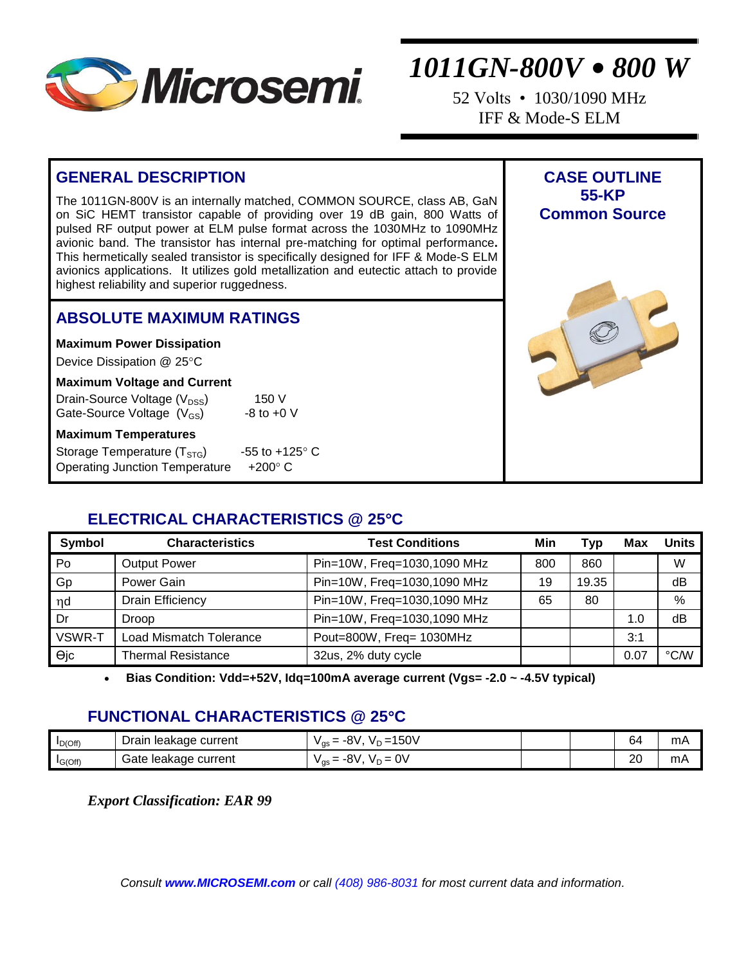

52 Volts • 1030/1090 MHz IFF & Mode-S ELM

> **CASE OUTLINE 55-KP Common Source**

## **GENERAL DESCRIPTION**

The 1011GN-800V is an internally matched, COMMON SOURCE, class AB, GaN on SiC HEMT transistor capable of providing over 19 dB gain, 800 Watts of pulsed RF output power at ELM pulse format across the 1030MHz to 1090MHz avionic band. The transistor has internal pre-matching for optimal performance**.**  This hermetically sealed transistor is specifically designed for IFF & Mode-S ELM avionics applications. It utilizes gold metallization and eutectic attach to provide highest reliability and superior ruggedness.

#### **ABSOLUTE MAXIMUM RATINGS**

**Maximum Power Dissipation** 

Device Dissipation @ 25°C

#### **Maximum Voltage and Current**

| Drain-Source Voltage (V <sub>DSS</sub> ) | 150 V                   |
|------------------------------------------|-------------------------|
| Gate-Source Voltage (V <sub>GS</sub> )   | $-8$ to $+0$ V          |
| <b>Maximum Temperatures</b>              |                         |
| Storage Temperature $(T_{STG})$          | -55 to $+125^{\circ}$ C |
| <b>Operating Junction Temperature</b>    | $+200^\circ$ C          |

### **ELECTRICAL CHARACTERISTICS @ 25C**

| Symbol | <b>Characteristics</b>         | <b>Test Conditions</b>      | Min | Tvp   | Max  | <b>Units</b>      |
|--------|--------------------------------|-----------------------------|-----|-------|------|-------------------|
| Po     | <b>Output Power</b>            | Pin=10W, Freq=1030,1090 MHz | 800 | 860   |      | W                 |
| Gp     | Power Gain                     | Pin=10W, Freq=1030,1090 MHz | 19  | 19.35 |      | dB                |
| nd     | <b>Drain Efficiency</b>        | Pin=10W, Freq=1030,1090 MHz | 65  | 80    |      | %                 |
| Dr     | <b>Droop</b>                   | Pin=10W, Freq=1030,1090 MHz |     |       | 1.0  | dB                |
| VSWR-T | <b>Load Mismatch Tolerance</b> | Pout=800W, Freq= 1030MHz    |     |       | 3:1  |                   |
| θjc    | <b>Thermal Resistance</b>      | 32us, 2% duty cycle         |     |       | 0.07 | $\rm ^{\circ}$ CM |

**Bias Condition: Vdd=+52V, Idq=100mA average current (Vgs= -2.0 ~ -4.5V typical)**

### **FUNCTIONAL CHARACTERISTICS @ 25C**

| $I_{D(Off)}$ | e current :<br>Drain<br>leakade | 150 <sub>b</sub><br>Ω١<br>$\overline{\phantom{0}}$<br>-8 V<br>$V \cap \equiv$<br>$v_{\text{as}} =$ |  | ჩ.                  | m/ |
|--------------|---------------------------------|----------------------------------------------------------------------------------------------------|--|---------------------|----|
| $I_{G(Off)}$ | Gate leakage current            | 0V<br>Ω١<br>-8V<br>$V_{\text{as}} =$<br>$V_D =$                                                    |  | റ്റ<br>$\mathbf{L}$ | mA |

*Export Classification: EAR 99*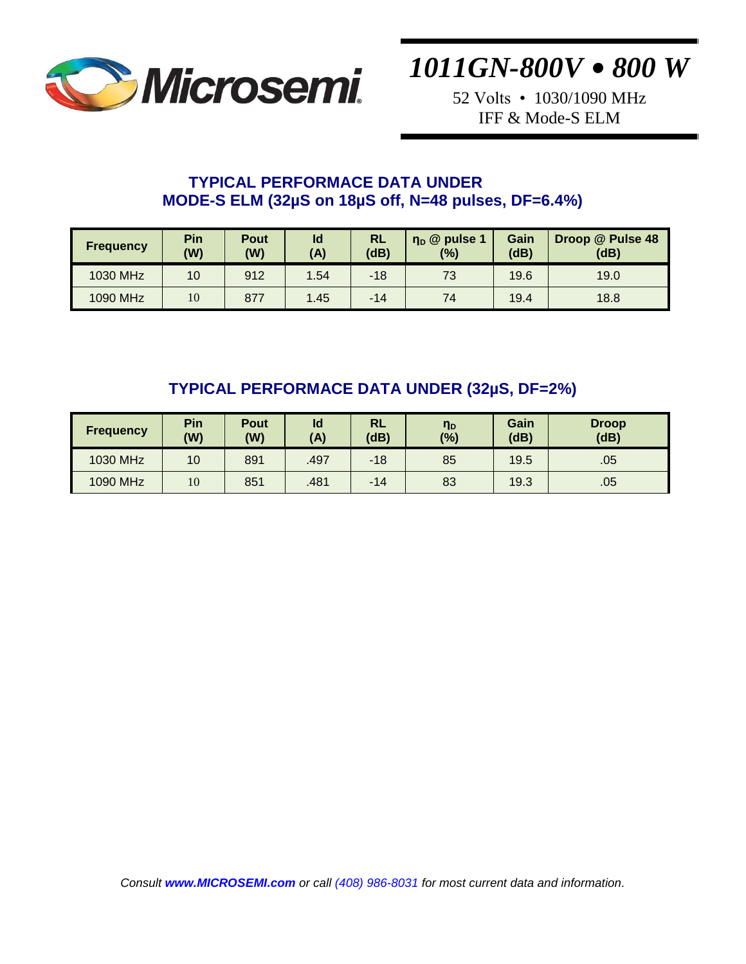

52 Volts • 1030/1090 MHz IFF & Mode-S ELM

#### **TYPICAL PERFORMACE DATA UNDER MODE-S ELM (32µS on 18µS off, N=48 pulses, DF=6.4%)**

| <b>Frequency</b> | Pin<br>(W) | Pout<br>(W) | Id<br>(A) | <b>RL</b><br>(dB) | $\eta_{\text{D}}$ @ pulse 1<br>(%) | Gain<br>(dB) | Droop @ Pulse 48<br>(dB) |
|------------------|------------|-------------|-----------|-------------------|------------------------------------|--------------|--------------------------|
| 1030 MHz         | 10         | 912         | 1.54      | $-18$             | 73                                 | 19.6         | 19.0                     |
| 1090 MHz         | 10         | 877         | 1.45      | $-14$             | 74                                 | 19.4         | 18.8                     |

### **TYPICAL PERFORMACE DATA UNDER (32µS, DF=2%)**

| <b>Frequency</b> | Pin<br>(W) | Pout<br>(W) | ld<br>(A) | RL<br>(dB) | η <sub>D</sub><br>(%) | Gain<br>(dB) | <b>Droop</b><br>(dB) |
|------------------|------------|-------------|-----------|------------|-----------------------|--------------|----------------------|
| 1030 MHz         | 10         | 891         | .497      | $-18$      | 85                    | 19.5         | .05                  |
| 1090 MHz         | 10         | 851         | .481      | $-14$      | 83                    | 19.3         | .05                  |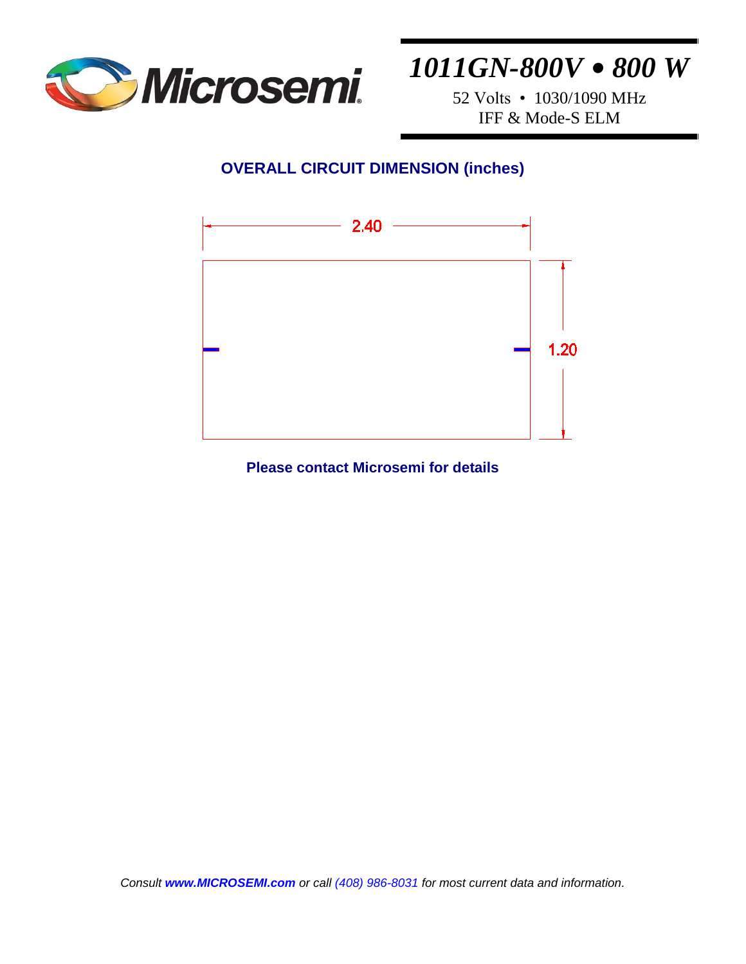

52 Volts • 1030/1090 MHz IFF & Mode-S ELM

## **OVERALL CIRCUIT DIMENSION (inches)**



**Please contact Microsemi for details**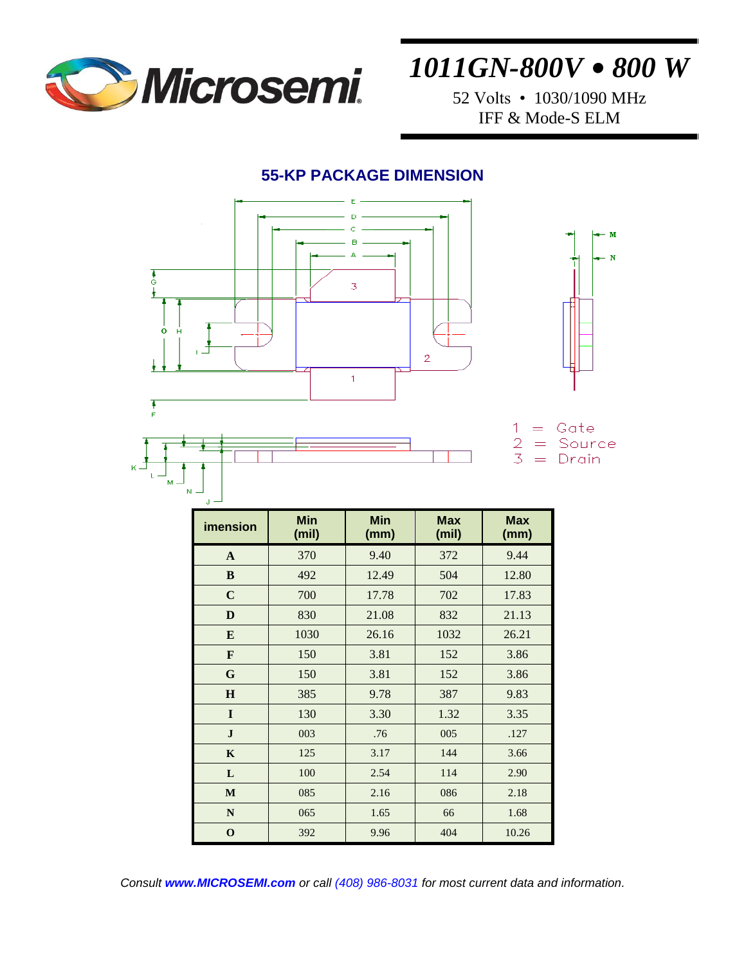

52 Volts • 1030/1090 MHz IFF & Mode-S ELM

#### **55-KP PACKAGE DIMENSION**



| imension     | <b>Min</b><br>(mil) | <b>Min</b><br>(mm) | <b>Max</b><br>(mil) | <b>Max</b><br>(mm) |  |
|--------------|---------------------|--------------------|---------------------|--------------------|--|
| $\mathbf{A}$ | 370                 | 9.40               | 372                 | 9.44               |  |
| $\bf{B}$     | 492                 | 12.49              | 504                 | 12.80              |  |
| $\mathbf C$  | 700                 | 17.78              | 702                 | 17.83              |  |
| D            | 830                 | 21.08              | 832                 | 21.13              |  |
| E            | 1030                | 26.16              | 1032                | 26.21              |  |
| F            | 150                 | 3.81               | 152                 | 3.86               |  |
| G            | 150                 | 3.81               | 152                 | 3.86               |  |
| $\bf{H}$     | 385                 | 9.78               | 387                 | 9.83               |  |
| I            | 130                 | 3.30               | 1.32                | 3.35               |  |
| $\mathbf{J}$ | 003                 | .76                | 005                 | .127               |  |
| $\mathbf K$  | 125                 | 3.17               | 144                 | 3.66               |  |
| L            | 100                 | 2.54               | 114                 | 2.90               |  |
| M            | 085                 | 2.16               | 086                 | 2.18               |  |
| $\mathbf N$  | 065                 | 1.65               | 66                  | 1.68               |  |
| $\mathbf{o}$ | 392                 | 9.96               | 404                 | 10.26              |  |